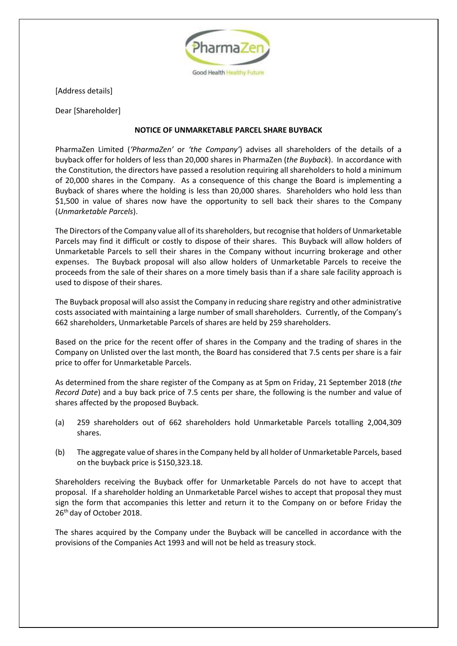

[Address details]

Dear [Shareholder]

## **NOTICE OF UNMARKETABLE PARCEL SHARE BUYBACK**

PharmaZen Limited (*'PharmaZen'* or *'the Company'*) advises all shareholders of the details of a buyback offer for holders of less than 20,000 shares in PharmaZen (*the Buyback*). In accordance with the Constitution, the directors have passed a resolution requiring all shareholders to hold a minimum of 20,000 shares in the Company. As a consequence of this change the Board is implementing a Buyback of shares where the holding is less than 20,000 shares. Shareholders who hold less than \$1,500 in value of shares now have the opportunity to sell back their shares to the Company (*Unmarketable Parcels*).

The Directors of the Company value all of its shareholders, but recognise that holders of Unmarketable Parcels may find it difficult or costly to dispose of their shares. This Buyback will allow holders of Unmarketable Parcels to sell their shares in the Company without incurring brokerage and other expenses. The Buyback proposal will also allow holders of Unmarketable Parcels to receive the proceeds from the sale of their shares on a more timely basis than if a share sale facility approach is used to dispose of their shares.

The Buyback proposal will also assist the Company in reducing share registry and other administrative costs associated with maintaining a large number of small shareholders. Currently, of the Company's 662 shareholders, Unmarketable Parcels of shares are held by 259 shareholders.

Based on the price for the recent offer of shares in the Company and the trading of shares in the Company on Unlisted over the last month, the Board has considered that 7.5 cents per share is a fair price to offer for Unmarketable Parcels.

As determined from the share register of the Company as at 5pm on Friday, 21 September 2018 (*the Record Date*) and a buy back price of 7.5 cents per share, the following is the number and value of shares affected by the proposed Buyback.

- (a) 259 shareholders out of 662 shareholders hold Unmarketable Parcels totalling 2,004,309 shares.
- (b) The aggregate value of shares in the Company held by all holder of Unmarketable Parcels, based on the buyback price is \$150,323.18.

Shareholders receiving the Buyback offer for Unmarketable Parcels do not have to accept that proposal. If a shareholder holding an Unmarketable Parcel wishes to accept that proposal they must sign the form that accompanies this letter and return it to the Company on or before Friday the 26<sup>th</sup> day of October 2018.

The shares acquired by the Company under the Buyback will be cancelled in accordance with the provisions of the Companies Act 1993 and will not be held as treasury stock.